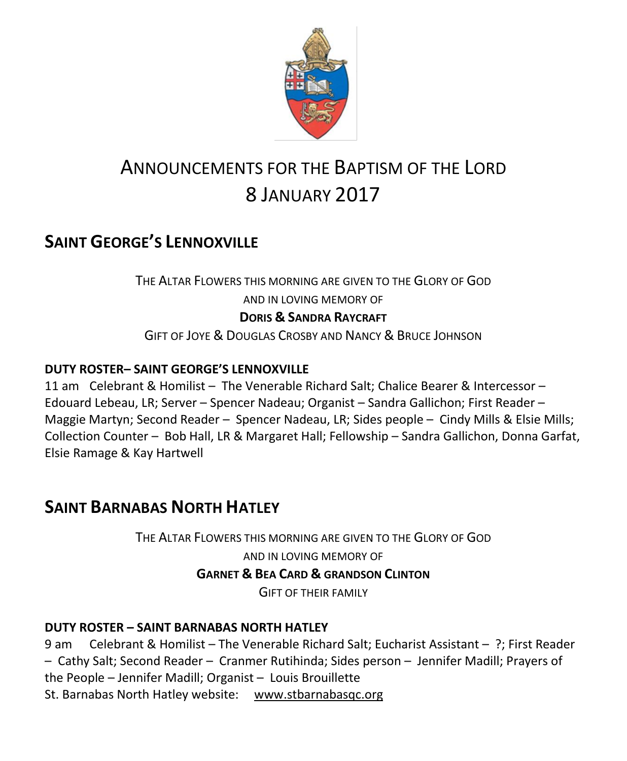

# ANNOUNCEMENTS FOR THE BAPTISM OF THE LORD 8 JANUARY 2017

# **SAINT GEORGE'S LENNOXVILLE**

THE ALTAR FLOWERS THIS MORNING ARE GIVEN TO THE GLORY OF GOD AND IN LOVING MEMORY OF **DORIS & SANDRA RAYCRAFT**

GIFT OF JOYE & DOUGLAS CROSBY AND NANCY & BRUCE JOHNSON

### **DUTY ROSTER– SAINT GEORGE'S LENNOXVILLE**

11 am Celebrant & Homilist – The Venerable Richard Salt; Chalice Bearer & Intercessor – Edouard Lebeau, LR; Server – Spencer Nadeau; Organist – Sandra Gallichon; First Reader – Maggie Martyn; Second Reader – Spencer Nadeau, LR; Sides people – Cindy Mills & Elsie Mills; Collection Counter – Bob Hall, LR & Margaret Hall; Fellowship – Sandra Gallichon, Donna Garfat, Elsie Ramage & Kay Hartwell

### **SAINT BARNABAS NORTH HATLEY**

THE ALTAR FLOWERS THIS MORNING ARE GIVEN TO THE GLORY OF GOD

AND IN LOVING MEMORY OF **GARNET & BEA CARD & GRANDSON CLINTON**

GIFT OF THEIR FAMILY

### **DUTY ROSTER – SAINT BARNABAS NORTH HATLEY**

9 am Celebrant & Homilist – The Venerable Richard Salt; Eucharist Assistant – ?; First Reader – Cathy Salt; Second Reader – Cranmer Rutihinda; Sides person – Jennifer Madill; Prayers of the People – Jennifer Madill; Organist – Louis Brouillette St. Barnabas North Hatley website: [www.stbarnabasqc.org](https://webmail.ubishops.ca/owa/redir.aspx?REF=0vV84iQWktbgou41-Q7x-hpuWc0un25Lg32_cT3pE_mXa77B8czTCAFodHRwOi8vd3d3LnN0YmFybmFiYXNxYy5vcmc.)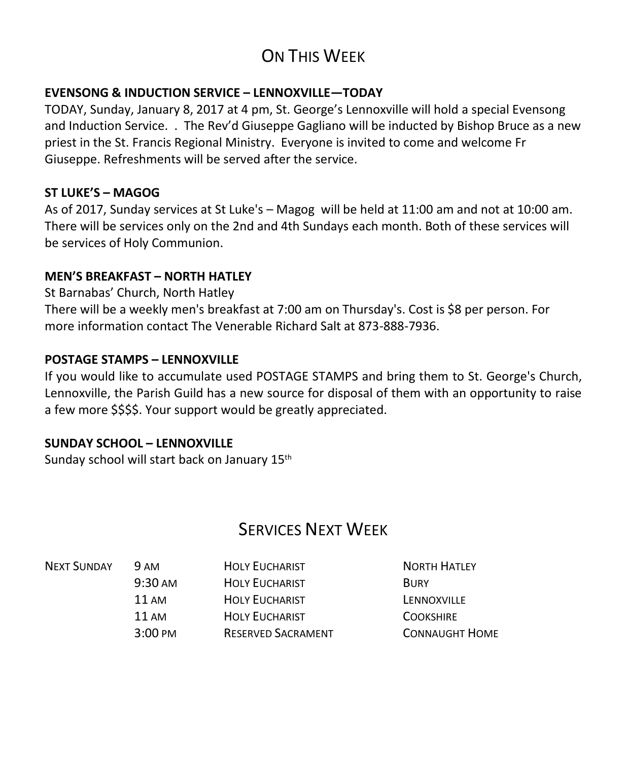# ON THIS WFFK

#### **EVENSONG & INDUCTION SERVICE – LENNOXVILLE—TODAY**

TODAY, Sunday, January 8, 2017 at 4 pm, St. George's Lennoxville will hold a special Evensong and Induction Service. . The Rev'd Giuseppe Gagliano will be inducted by Bishop Bruce as a new priest in the St. Francis Regional Ministry. Everyone is invited to come and welcome Fr Giuseppe. Refreshments will be served after the service.

#### **ST LUKE'S – MAGOG**

As of 2017, Sunday services at St Luke's – Magog will be held at 11:00 am and not at 10:00 am. There will be services only on the 2nd and 4th Sundays each month. Both of these services will be services of Holy Communion.

#### **MEN'S BREAKFAST – NORTH HATLEY**

St Barnabas' Church, North Hatley

There will be a weekly men's breakfast at 7:00 am on Thursday's. Cost is \$8 per person. For more information contact The Venerable Richard Salt at 873-888-7936.

#### **POSTAGE STAMPS – LENNOXVILLE**

If you would like to accumulate used POSTAGE STAMPS and bring them to St. George's Church, Lennoxville, the Parish Guild has a new source for disposal of them with an opportunity to raise a few more \$\$\$\$. Your support would be greatly appreciated.

#### **SUNDAY SCHOOL – LENNOXVILLE**

Sunday school will start back on January 15th

### SERVICES NEXT WEEK

| <b>NEXT SUNDAY</b> | <b>9 AM</b>        | <b>HOLY EUCHARIST</b>     | <b>NORTH HATLEY</b>   |
|--------------------|--------------------|---------------------------|-----------------------|
|                    | $9:30 \text{ AM}$  | <b>HOLY EUCHARIST</b>     | <b>BURY</b>           |
|                    | $11 \text{ AM}$    | <b>HOLY EUCHARIST</b>     | LENNOXVILLE           |
|                    | $11 \text{ AM}$    | <b>HOLY EUCHARIST</b>     | <b>COOKSHIRE</b>      |
|                    | $3:00 \text{ }$ PM | <b>RESERVED SACRAMENT</b> | <b>CONNAUGHT HOME</b> |
|                    |                    |                           |                       |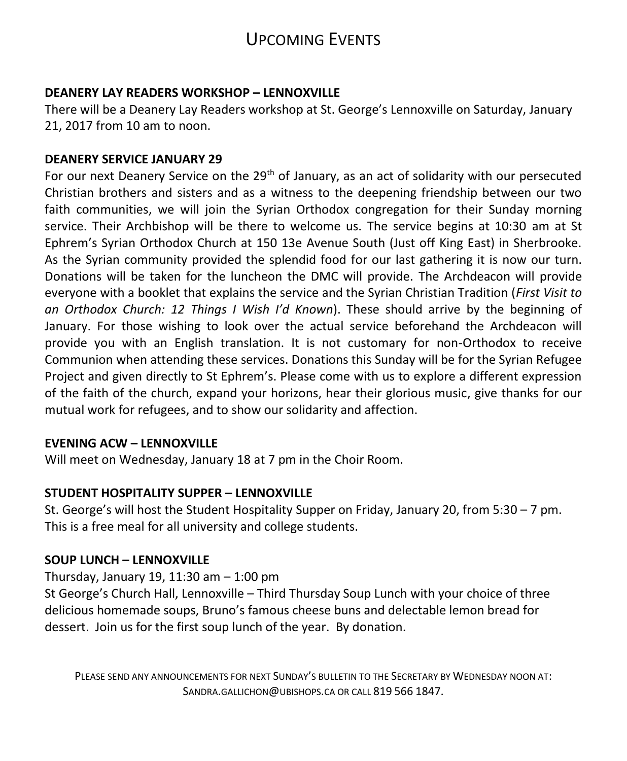### UPCOMING EVENTS

#### **DEANERY LAY READERS WORKSHOP – LENNOXVILLE**

There will be a Deanery Lay Readers workshop at St. George's Lennoxville on Saturday, January 21, 2017 from 10 am to noon.

#### **DEANERY SERVICE JANUARY 29**

For our next Deanery Service on the 29<sup>th</sup> of January, as an act of solidarity with our persecuted Christian brothers and sisters and as a witness to the deepening friendship between our two faith communities, we will join the Syrian Orthodox congregation for their Sunday morning service. Their Archbishop will be there to welcome us. The service begins at 10:30 am at St Ephrem's Syrian Orthodox Church at 150 13e Avenue South (Just off King East) in Sherbrooke. As the Syrian community provided the splendid food for our last gathering it is now our turn. Donations will be taken for the luncheon the DMC will provide. The Archdeacon will provide everyone with a booklet that explains the service and the Syrian Christian Tradition (*First Visit to an Orthodox Church: 12 Things I Wish I'd Known*). These should arrive by the beginning of January. For those wishing to look over the actual service beforehand the Archdeacon will provide you with an English translation. It is not customary for non-Orthodox to receive Communion when attending these services. Donations this Sunday will be for the Syrian Refugee Project and given directly to St Ephrem's. Please come with us to explore a different expression of the faith of the church, expand your horizons, hear their glorious music, give thanks for our mutual work for refugees, and to show our solidarity and affection.

#### **EVENING ACW – LENNOXVILLE**

Will meet on Wednesday, January 18 at 7 pm in the Choir Room.

#### **STUDENT HOSPITALITY SUPPER – LENNOXVILLE**

St. George's will host the Student Hospitality Supper on Friday, January 20, from 5:30 – 7 pm. This is a free meal for all university and college students.

#### **SOUP LUNCH – LENNOXVILLE**

Thursday, January 19, 11:30 am – 1:00 pm

St George's Church Hall, Lennoxville – Third Thursday Soup Lunch with your choice of three delicious homemade soups, Bruno's famous cheese buns and delectable lemon bread for dessert. Join us for the first soup lunch of the year. By donation.

PLEASE SEND ANY ANNOUNCEMENTS FOR NEXT SUNDAY'S BULLETIN TO THE SECRETARY BY WEDNESDAY NOON AT: SANDRA.GALLICHON@UBISHOPS.CA OR CALL 819 566 1847.